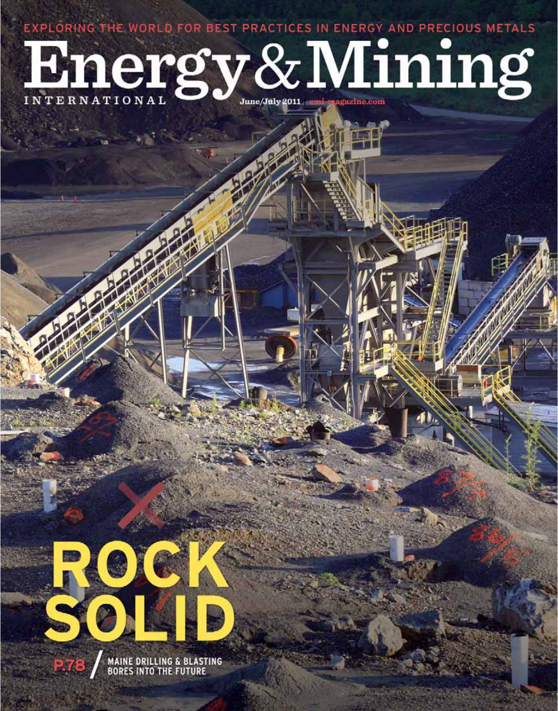EXPLORING THE WORLD FOR BEST PRACTICES IN ENERGY AND PRECIOUS METALS

# Hnergy&Mining



**MAINE DRILLING & BLASTING<br>BORES INTO THE FUTURE**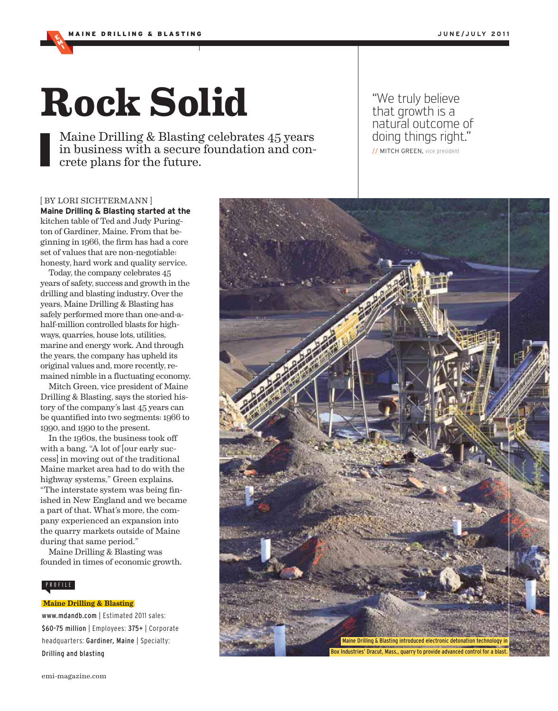MI

# **Rock Solid**

Maine Drilling & Blasting celebrates 45 years in business with a secure foundation and concrete plans for the future.

"We truly believe that growth is a natural outcome of nataran sacsanno or<br>doing things right." // MITCH GREEN, vice president

# [ BY LORI SICHTERMANN ] **Maine Drilling & Blasting started at the** kitchen table of Ted and Judy Purington of Gardiner, Maine. From that beginning in 1966, the firm has had a core set of values that are non-negotiable: honesty, hard work and quality service.

Today, the company celebrates 45 years of safety, success and growth in the drilling and blasting industry. Over the years, Maine Drilling & Blasting has safely performed more than one-and-ahalf-million controlled blasts for highways, quarries, house lots, utilities, marine and energy work. And through the years, the company has upheld its original values and, more recently, remained nimble in a fluctuating economy.

Mitch Green, vice president of Maine Drilling & Blasting, says the storied history of the company's last 45 years can be quantified into two segments: 1966 to 1990, and 1990 to the present.

In the 1960s, the business took off with a bang. "A lot of [our early success] in moving out of the traditional Maine market area had to do with the highway systems," Green explains. "The interstate system was being finished in New England and we became a part of that. What's more, the company experienced an expansion into the quarry markets outside of Maine during that same period."

Maine Drilling & Blasting was founded in times of economic growth.

## PROFILE

www.mdandb.com | Estimated 2011 sales: \$60-75 million | Employees: 375+ | Corporate headquarters: Gardiner, Maine | Specialty: Drilling and blasting

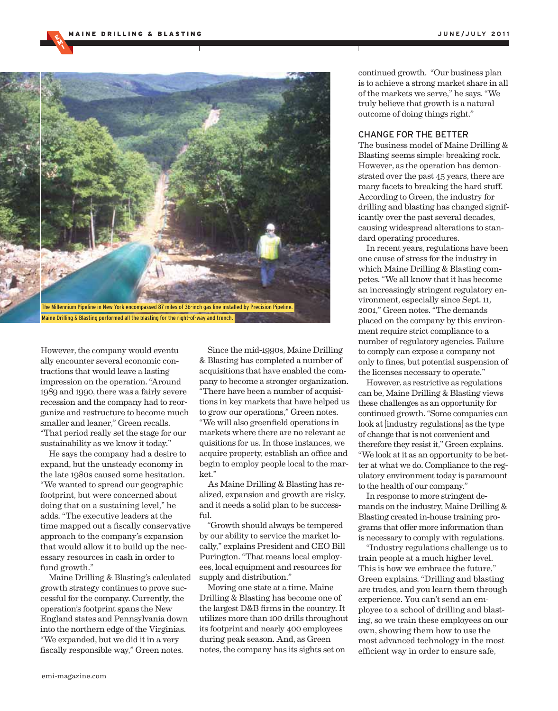MI



However, the company would eventually encounter several economic contractions that would leave a lasting impression on the operation. "Around 1989 and 1990, there was a fairly severe recession and the company had to reorganize and restructure to become much smaller and leaner," Green recalls. "That period really set the stage for our sustainability as we know it today."

He says the company had a desire to expand, but the unsteady economy in the late 1980s caused some hesitation. "We wanted to spread our geographic footprint, but were concerned about doing that on a sustaining level," he adds. "The executive leaders at the time mapped out a fiscally conservative approach to the company's expansion that would allow it to build up the necessary resources in cash in order to fund growth."

Maine Drilling & Blasting's calculated growth strategy continues to prove successful for the company. Currently, the operation's footprint spans the New England states and Pennsylvania down into the northern edge of the Virginias. "We expanded, but we did it in a very fiscally responsible way," Green notes.

Since the mid-1990s, Maine Drilling & Blasting has completed a number of acquisitions that have enabled the company to become a stronger organization. "There have been a number of acquisitions in key markets that have helped us to grow our operations," Green notes. "We will also greenfield operations in markets where there are no relevant acquisitions for us. In those instances, we acquire property, establish an office and begin to employ people local to the market."

As Maine Drilling & Blasting has realized, expansion and growth are risky, and it needs a solid plan to be successful.

"Growth should always be tempered by our ability to service the market locally," explains President and CEO Bill Purington. "That means local employees, local equipment and resources for supply and distribution."

Moving one state at a time, Maine Drilling & Blasting has become one of the largest D&B firms in the country. It utilizes more than 100 drills throughout its footprint and nearly 400 employees during peak season. And, as Green notes, the company has its sights set on

continued growth. "Our business plan is to achieve a strong market share in all of the markets we serve," he says. "We truly believe that growth is a natural outcome of doing things right."

### CHANGE FOR THE BETTER

The business model of Maine Drilling & Blasting seems simple: breaking rock. However, as the operation has demonstrated over the past 45 years, there are many facets to breaking the hard stuff. According to Green, the industry for drilling and blasting has changed significantly over the past several decades, causing widespread alterations to standard operating procedures.

In recent years, regulations have been one cause of stress for the industry in which Maine Drilling & Blasting competes. "We all know that it has become an increasingly stringent regulatory environment, especially since Sept. 11, 2001," Green notes. "The demands placed on the company by this environment require strict compliance to a number of regulatory agencies. Failure to comply can expose a company not only to fines, but potential suspension of the licenses necessary to operate."

However, as restrictive as regulations can be, Maine Drilling & Blasting views these challenges as an opportunity for continued growth. "Some companies can look at [industry regulations] as the type of change that is not convenient and therefore they resist it," Green explains. "We look at it as an opportunity to be better at what we do. Compliance to the regulatory environment today is paramount to the health of our company."

In response to more stringent demands on the industry, Maine Drilling & Blasting created in-house training programs that offer more information than is necessary to comply with regulations.

"Industry regulations challenge us to train people at a much higher level. This is how we embrace the future," Green explains. "Drilling and blasting are trades, and you learn them through experience. You can't send an employee to a school of drilling and blasting, so we train these employees on our own, showing them how to use the most advanced technology in the most efficient way in order to ensure safe,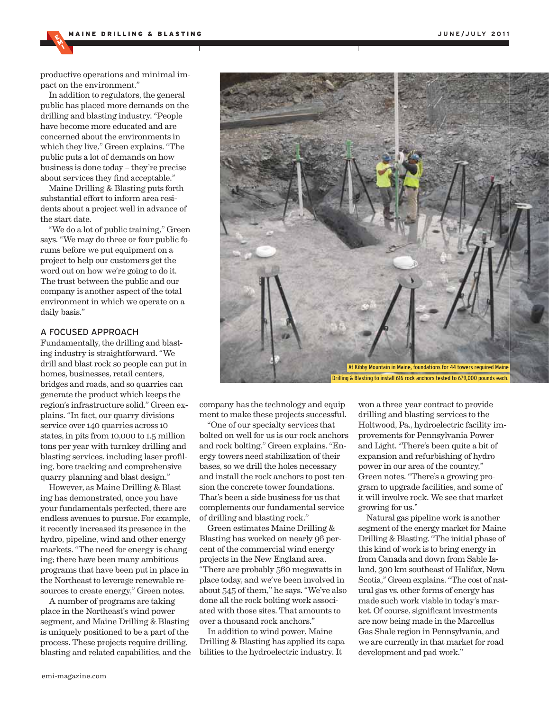productive operations and minimal impact on the environment."

MI

In addition to regulators, the general public has placed more demands on the drilling and blasting industry. "People have become more educated and are concerned about the environments in which they live," Green explains. "The public puts a lot of demands on how business is done today – they're precise about services they find acceptable."

Maine Drilling & Blasting puts forth substantial effort to inform area residents about a project well in advance of the start date.

"We do a lot of public training," Green says. "We may do three or four public forums before we put equipment on a project to help our customers get the word out on how we're going to do it. The trust between the public and our company is another aspect of the total environment in which we operate on a daily basis."

# A FOCUSED APPROACH

Fundamentally, the drilling and blasting industry is straightforward. "We drill and blast rock so people can put in homes, businesses, retail centers, bridges and roads, and so quarries can generate the product which keeps the region's infrastructure solid." Green explains. "In fact, our quarry divisions service over 140 quarries across 10 states, in pits from 10,000 to 1.5 million tons per year with turnkey drilling and blasting services, including laser profiling, bore tracking and comprehensive quarry planning and blast design."

However, as Maine Drilling & Blasting has demonstrated, once you have your fundamentals perfected, there are endless avenues to pursue. For example, it recently increased its presence in the hydro, pipeline, wind and other energy markets. "The need for energy is changing; there have been many ambitious programs that have been put in place in the Northeast to leverage renewable resources to create energy," Green notes.

A number of programs are taking place in the Northeast's wind power segment, and Maine Drilling & Blasting is uniquely positioned to be a part of the process. These projects require drilling, blasting and related capabilities, and the



company has the technology and equipment to make these projects successful.

"One of our specialty services that bolted on well for us is our rock anchors and rock bolting," Green explains. "Energy towers need stabilization of their bases, so we drill the holes necessary and install the rock anchors to post-tension the concrete tower foundations. That's been a side business for us that complements our fundamental service of drilling and blasting rock."

Green estimates Maine Drilling & Blasting has worked on nearly 96 percent of the commercial wind energy projects in the New England area. "There are probably 560 megawatts in place today, and we've been involved in about 545 of them," he says. "We've also done all the rock bolting work associated with those sites. That amounts to over a thousand rock anchors."

In addition to wind power, Maine Drilling & Blasting has applied its capabilities to the hydroelectric industry. It

won a three-year contract to provide drilling and blasting services to the Holtwood, Pa., hydroelectric facility improvements for Pennsylvania Power and Light. "There's been quite a bit of expansion and refurbishing of hydro power in our area of the country," Green notes. "There's a growing program to upgrade facilities, and some of it will involve rock. We see that market growing for us."

Natural gas pipeline work is another segment of the energy market for Maine Drilling & Blasting. "The initial phase of this kind of work is to bring energy in from Canada and down from Sable Island, 300 km southeast of Halifax, Nova Scotia," Green explains. "The cost of natural gas vs. other forms of energy has made such work viable in today's market. Of course, significant investments are now being made in the Marcellus Gas Shale region in Pennsylvania, and we are currently in that market for road development and pad work."